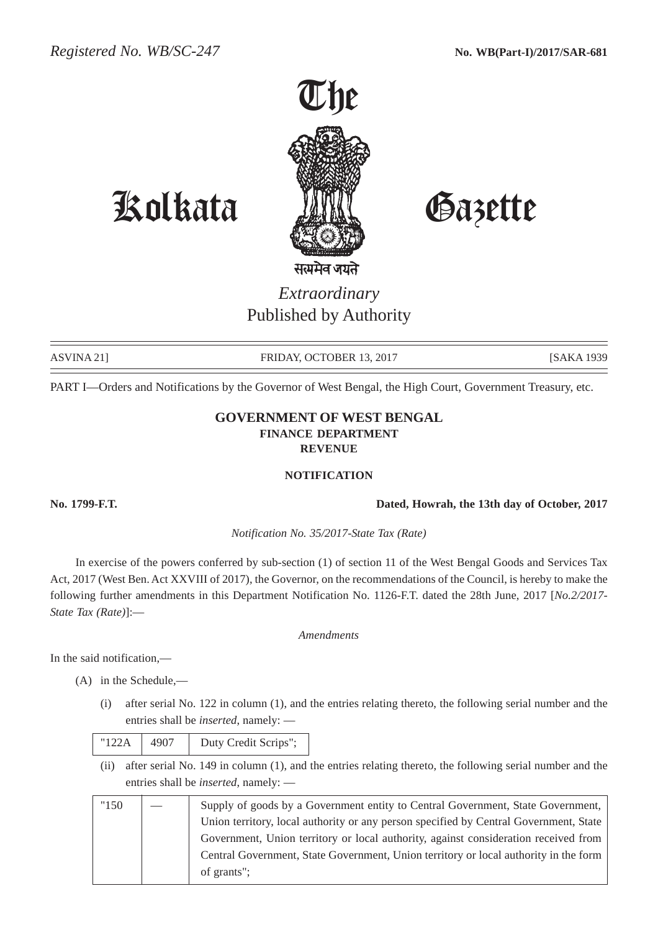

# Kolkata Gazette

# *Extraordinary* Published by Authority

ASVINA 21] FRIDAY, OCTOBER 13, 2017 [SAKA 1939

PART I—Orders and Notifications by the Governor of West Bengal, the High Court, Government Treasury, etc.

## **GOVERNMENT OF WEST BENGAL FINANCE DEPARTMENT REVENUE**

#### **NOTIFICATION**

**No. 1799-F.T. Dated, Howrah, the 13th day of October, 2017**

*Notification No. 35/2017-State Tax (Rate)*

In exercise of the powers conferred by sub-section (1) of section 11 of the West Bengal Goods and Services Tax Act, 2017 (West Ben. Act XXVIII of 2017), the Governor, on the recommendations of the Council, is hereby to make the following further amendments in this Department Notification No. 1126-F.T. dated the 28th June, 2017 [*No.2/2017- State Tax (Rate)*]:—

### *Amendments*

In the said notification,—

- (A) in the Schedule,—
	- (i) after serial No. 122 in column (1), and the entries relating thereto, the following serial number and the entries shall be *inserted*, namely: —

| "122A | 4907 | Duty Credit Scrips"; |
|-------|------|----------------------|
|-------|------|----------------------|

(ii) after serial No. 149 in column (1), and the entries relating thereto, the following serial number and the entries shall be *inserted*, namely: —

| "150" | Supply of goods by a Government entity to Central Government, State Government,       |
|-------|---------------------------------------------------------------------------------------|
|       | Union territory, local authority or any person specified by Central Government, State |
|       | Government, Union territory or local authority, against consideration received from   |
|       | Central Government, State Government, Union territory or local authority in the form  |
|       | of grants";                                                                           |